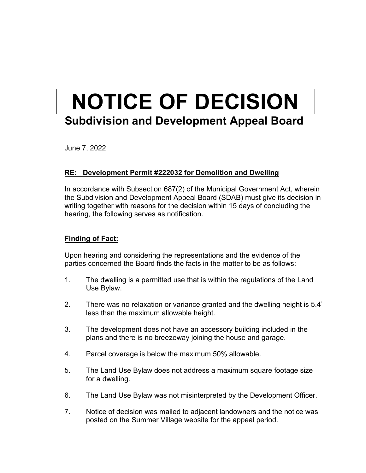## **NOTICE OF DECISION Subdivision and Development Appeal Board**

June 7, 2022

## **RE: Development Permit #222032 for Demolition and Dwelling**

In accordance with Subsection 687(2) of the Municipal Government Act, wherein the Subdivision and Development Appeal Board (SDAB) must give its decision in writing together with reasons for the decision within 15 days of concluding the hearing, the following serves as notification.

## **Finding of Fact:**

Upon hearing and considering the representations and the evidence of the parties concerned the Board finds the facts in the matter to be as follows:

- 1. The dwelling is a permitted use that is within the regulations of the Land Use Bylaw.
- 2. There was no relaxation or variance granted and the dwelling height is 5.4' less than the maximum allowable height.
- 3. The development does not have an accessory building included in the plans and there is no breezeway joining the house and garage.
- 4. Parcel coverage is below the maximum 50% allowable.
- 5. The Land Use Bylaw does not address a maximum square footage size for a dwelling.
- 6. The Land Use Bylaw was not misinterpreted by the Development Officer.
- 7. Notice of decision was mailed to adjacent landowners and the notice was posted on the Summer Village website for the appeal period.